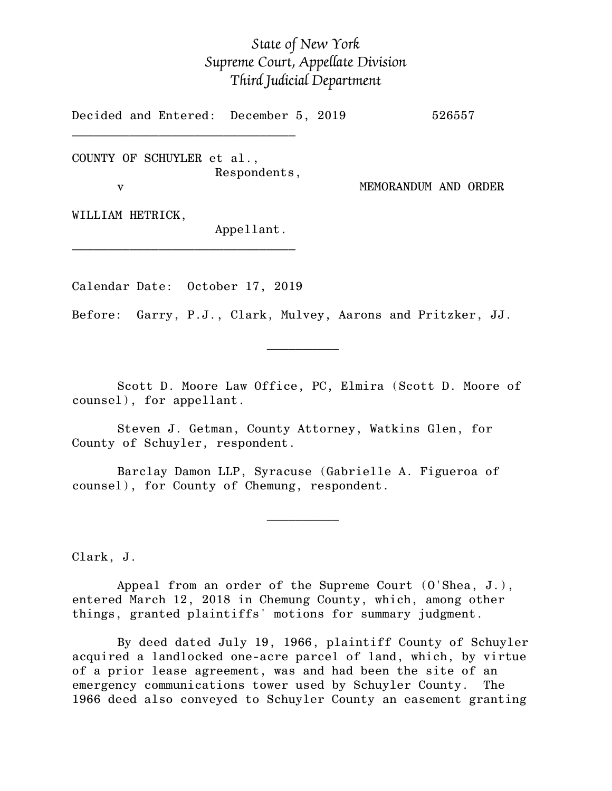## *State of New York Supreme Court, Appellate Division Third Judicial Department*

Decided and Entered: December 5, 2019 526557

COUNTY OF SCHUYLER et al., Respondents,

 $\mathcal{L}_\text{max}$ 

v MEMORANDUM AND ORDER

WILLIAM HETRICK,

Appellant.

Calendar Date: October 17, 2019

 $\mathcal{L}_\text{max}$  and  $\mathcal{L}_\text{max}$  are the set of  $\mathcal{L}_\text{max}$  . The set of  $\mathcal{L}_\text{max}$ 

 $\mathcal{L}_\text{max}$  and  $\mathcal{L}_\text{max}$  are the set of  $\mathcal{L}_\text{max}$  . The set of  $\mathcal{L}_\text{max}$ 

 $\mathcal{L}_\text{max}$ 

Before: Garry, P.J., Clark, Mulvey, Aarons and Pritzker, JJ.

Scott D. Moore Law Office, PC, Elmira (Scott D. Moore of counsel), for appellant.

Steven J. Getman, County Attorney, Watkins Glen, for County of Schuyler, respondent.

Barclay Damon LLP, Syracuse (Gabrielle A. Figueroa of counsel), for County of Chemung, respondent.

Clark, J.

Appeal from an order of the Supreme Court (O'Shea, J.), entered March 12, 2018 in Chemung County, which, among other things, granted plaintiffs' motions for summary judgment.

By deed dated July 19, 1966, plaintiff County of Schuyler acquired a landlocked one-acre parcel of land, which, by virtue of a prior lease agreement, was and had been the site of an emergency communications tower used by Schuyler County. The 1966 deed also conveyed to Schuyler County an easement granting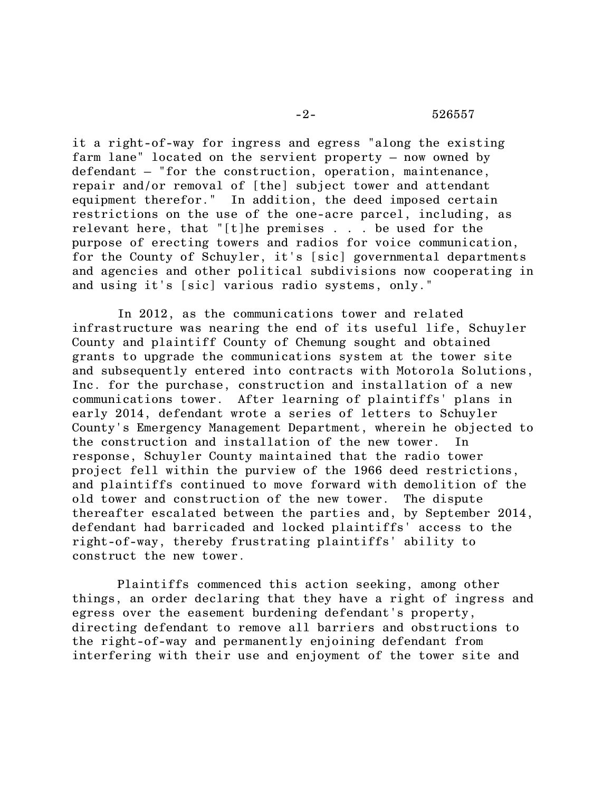## -2- 526557

it a right-of-way for ingress and egress "along the existing farm lane" located on the servient property – now owned by defendant – "for the construction, operation, maintenance, repair and/or removal of [the] subject tower and attendant equipment therefor." In addition, the deed imposed certain restrictions on the use of the one-acre parcel, including, as relevant here, that "[t]he premises . . . be used for the purpose of erecting towers and radios for voice communication, for the County of Schuyler, it's [sic] governmental departments and agencies and other political subdivisions now cooperating in and using it's [sic] various radio systems, only."

In 2012, as the communications tower and related infrastructure was nearing the end of its useful life, Schuyler County and plaintiff County of Chemung sought and obtained grants to upgrade the communications system at the tower site and subsequently entered into contracts with Motorola Solutions, Inc. for the purchase, construction and installation of a new communications tower. After learning of plaintiffs' plans in early 2014, defendant wrote a series of letters to Schuyler County's Emergency Management Department, wherein he objected to the construction and installation of the new tower. In response, Schuyler County maintained that the radio tower project fell within the purview of the 1966 deed restrictions, and plaintiffs continued to move forward with demolition of the old tower and construction of the new tower. The dispute thereafter escalated between the parties and, by September 2014, defendant had barricaded and locked plaintiffs' access to the right-of-way, thereby frustrating plaintiffs' ability to construct the new tower.

Plaintiffs commenced this action seeking, among other things, an order declaring that they have a right of ingress and egress over the easement burdening defendant's property, directing defendant to remove all barriers and obstructions to the right-of-way and permanently enjoining defendant from interfering with their use and enjoyment of the tower site and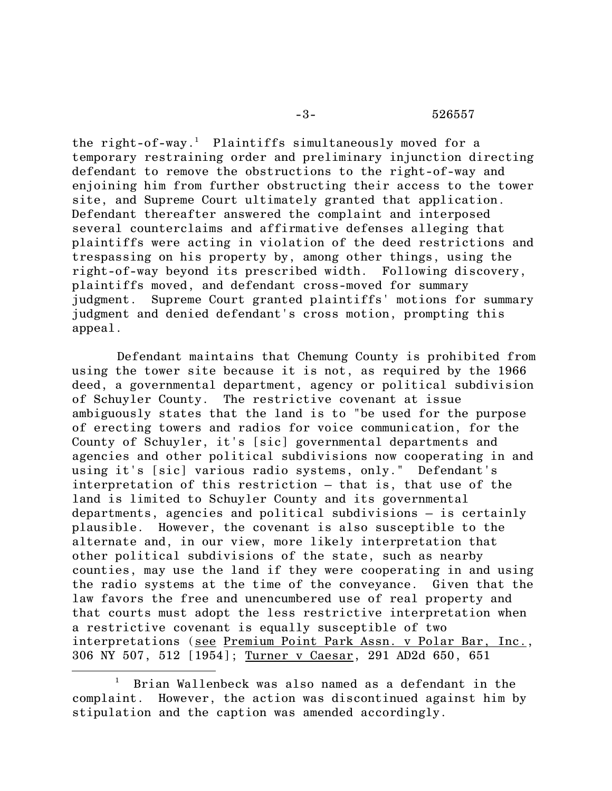## -3- 526557

the right-of-way. <sup>1</sup> Plaintiffs simultaneously moved for a temporary restraining order and preliminary injunction directing defendant to remove the obstructions to the right-of-way and enjoining him from further obstructing their access to the tower site, and Supreme Court ultimately granted that application. Defendant thereafter answered the complaint and interposed several counterclaims and affirmative defenses alleging that plaintiffs were acting in violation of the deed restrictions and trespassing on his property by, among other things, using the right-of-way beyond its prescribed width. Following discovery, plaintiffs moved, and defendant cross-moved for summary judgment. Supreme Court granted plaintiffs' motions for summary judgment and denied defendant's cross motion, prompting this appeal.

Defendant maintains that Chemung County is prohibited from using the tower site because it is not, as required by the 1966 deed, a governmental department, agency or political subdivision of Schuyler County. The restrictive covenant at issue ambiguously states that the land is to "be used for the purpose of erecting towers and radios for voice communication, for the County of Schuyler, it's [sic] governmental departments and agencies and other political subdivisions now cooperating in and using it's [sic] various radio systems, only." Defendant's interpretation of this restriction – that is, that use of the land is limited to Schuyler County and its governmental departments, agencies and political subdivisions – is certainly plausible. However, the covenant is also susceptible to the alternate and, in our view, more likely interpretation that other political subdivisions of the state, such as nearby counties, may use the land if they were cooperating in and using the radio systems at the time of the conveyance. Given that the law favors the free and unencumbered use of real property and that courts must adopt the less restrictive interpretation when a restrictive covenant is equally susceptible of two interpretations (see Premium Point Park Assn. v Polar Bar, Inc., 306 NY 507, 512 [1954]; Turner v Caesar, 291 AD2d 650, 651

 $\overline{\phantom{a}}$ 

<sup>1</sup> Brian Wallenbeck was also named as a defendant in the complaint. However, the action was discontinued against him by stipulation and the caption was amended accordingly.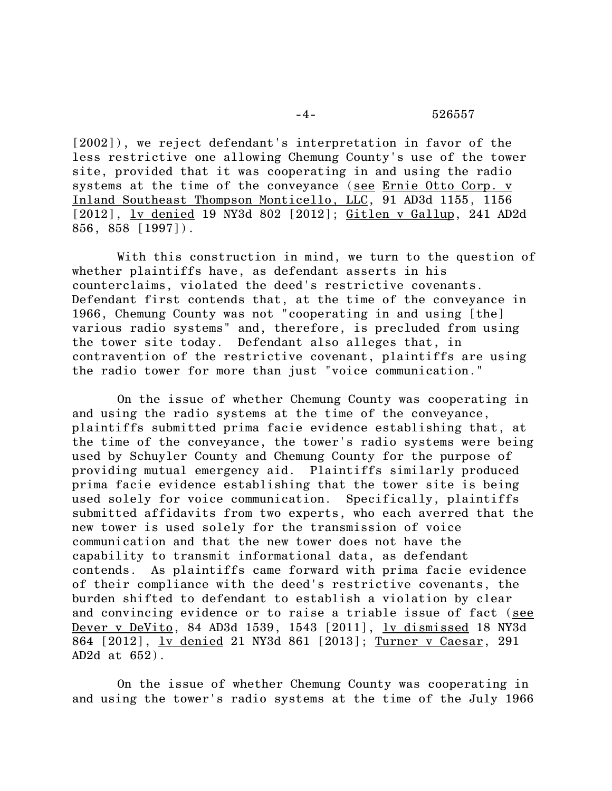[2002]), we reject defendant's interpretation in favor of the less restrictive one allowing Chemung County's use of the tower site, provided that it was cooperating in and using the radio systems at the time of the conveyance (see Ernie Otto Corp. v Inland Southeast Thompson Monticello, LLC, 91 AD3d 1155, 1156 [2012], lv denied 19 NY3d 802 [2012]; Gitlen v Gallup, 241 AD2d 856, 858 [1997]).

With this construction in mind, we turn to the question of whether plaintiffs have, as defendant asserts in his counterclaims, violated the deed's restrictive covenants. Defendant first contends that, at the time of the conveyance in 1966, Chemung County was not "cooperating in and using [the] various radio systems" and, therefore, is precluded from using the tower site today. Defendant also alleges that, in contravention of the restrictive covenant, plaintiffs are using the radio tower for more than just "voice communication."

On the issue of whether Chemung County was cooperating in and using the radio systems at the time of the conveyance, plaintiffs submitted prima facie evidence establishing that, at the time of the conveyance, the tower's radio systems were being used by Schuyler County and Chemung County for the purpose of providing mutual emergency aid. Plaintiffs similarly produced prima facie evidence establishing that the tower site is being used solely for voice communication. Specifically, plaintiffs submitted affidavits from two experts, who each averred that the new tower is used solely for the transmission of voice communication and that the new tower does not have the capability to transmit informational data, as defendant contends. As plaintiffs came forward with prima facie evidence of their compliance with the deed's restrictive covenants, the burden shifted to defendant to establish a violation by clear and convincing evidence or to raise a triable issue of fact (see Dever v DeVito, 84 AD3d 1539, 1543 [2011], lv dismissed 18 NY3d 864 [2012], lv denied 21 NY3d 861 [2013]; Turner v Caesar, 291 AD2d at 652).

On the issue of whether Chemung County was cooperating in and using the tower's radio systems at the time of the July 1966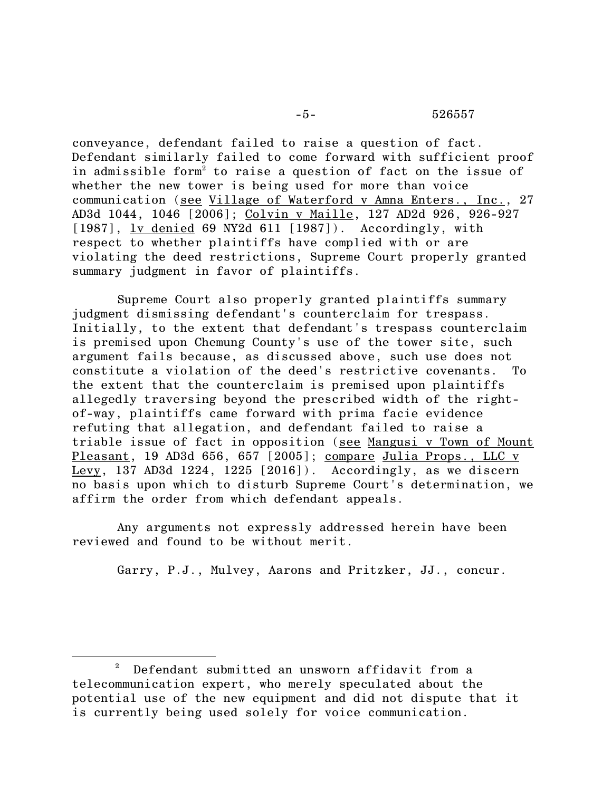## -5- 526557

conveyance, defendant failed to raise a question of fact. Defendant similarly failed to come forward with sufficient proof in admissible form<sup>2</sup> to raise a question of fact on the issue of whether the new tower is being used for more than voice communication (see Village of Waterford v Amna Enters., Inc., 27 AD3d 1044, 1046 [2006]; Colvin v Maille, 127 AD2d 926, 926-927 [1987], ly denied 69 NY2d 611 [1987]). Accordingly, with respect to whether plaintiffs have complied with or are violating the deed restrictions, Supreme Court properly granted summary judgment in favor of plaintiffs.

Supreme Court also properly granted plaintiffs summary judgment dismissing defendant's counterclaim for trespass. Initially, to the extent that defendant's trespass counterclaim is premised upon Chemung County's use of the tower site, such argument fails because, as discussed above, such use does not constitute a violation of the deed's restrictive covenants. To the extent that the counterclaim is premised upon plaintiffs allegedly traversing beyond the prescribed width of the rightof-way, plaintiffs came forward with prima facie evidence refuting that allegation, and defendant failed to raise a triable issue of fact in opposition (see Mangusi v Town of Mount Pleasant, 19 AD3d 656, 657 [2005]; compare Julia Props., LLC v Levy, 137 AD3d 1224, 1225 [2016]). Accordingly, as we discern no basis upon which to disturb Supreme Court's determination, we affirm the order from which defendant appeals.

Any arguments not expressly addressed herein have been reviewed and found to be without merit.

Garry, P.J., Mulvey, Aarons and Pritzker, JJ., concur.

 $\overline{\phantom{a}}$ 

<sup>2</sup> Defendant submitted an unsworn affidavit from a telecommunication expert, who merely speculated about the potential use of the new equipment and did not dispute that it is currently being used solely for voice communication.